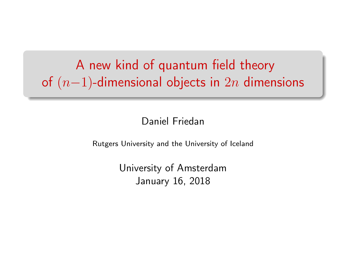A new kind of quantum field theory of  $(n-1)$ -dimensional objects in  $2n$  dimensions

#### Daniel Friedan

Rutgers University and the University of Iceland

University of Amsterdam January 16, 2018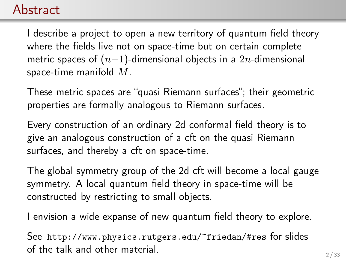#### Abstract

I describe a project to open a new territory of quantum field theory where the fields live not on space-time but on certain complete metric spaces of  $(n-1)$ -dimensional objects in a 2n-dimensional space-time manifold  $M$ .

These metric spaces are "quasi Riemann surfaces"; their geometric properties are formally analogous to Riemann surfaces.

Every construction of an ordinary 2d conformal field theory is to give an analogous construction of a cft on the quasi Riemann surfaces, and thereby a cft on space-time.

The global symmetry group of the 2d cft will become a local gauge symmetry. A local quantum field theory in space-time will be constructed by restricting to small objects.

I envision a wide expanse of new quantum field theory to explore.

See <http://www.physics.rutgers.edu/~friedan/#res> for slides of the talk and other material.  $2/33$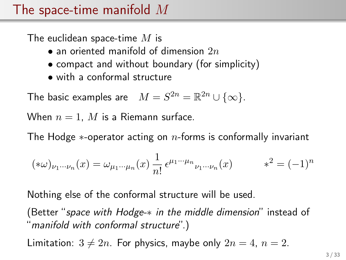#### The space-time manifold  $M$

The euclidean space-time  $M$  is

- an oriented manifold of dimension  $2n$
- compact and without boundary (for simplicity)
- with a conformal structure

The basic examples are  $M = S^{2n} = \mathbb{R}^{2n} \cup \{\infty\}.$ 

When  $n = 1$ , M is a Riemann surface.

The Hodge  $*$ -operator acting on  $n$ -forms is conformally invariant

$$
(\ast \omega)_{\nu_1 \cdots \nu_n}(x) = \omega_{\mu_1 \cdots \mu_n}(x) \frac{1}{n!} \epsilon^{\mu_1 \cdots \mu_n}{}_{\nu_1 \cdots \nu_n}(x) \qquad \ast^2 = (-1)^n
$$

Nothing else of the conformal structure will be used.

(Better "space with Hodge-\* in the middle dimension" instead of "manifold with conformal structure".)

Limitation:  $3 \neq 2n$ . For physics, maybe only  $2n = 4$ ,  $n = 2$ .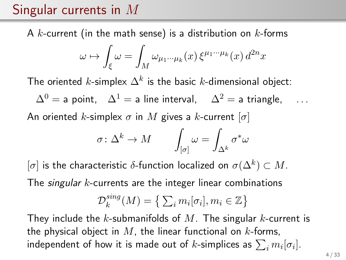### Singular currents in M

A k-current (in the math sense) is a distribution on  $k$ -forms

$$
\omega \mapsto \int_{\xi} \omega = \int_M \omega_{\mu_1 \cdots \mu_k}(x) \, \xi^{\mu_1 \cdots \mu_k}(x) \, d^{2n}x
$$

The oriented  $k$ -simplex  $\Delta^k$  is the basic  $k$ -dimensional object:

 $\Delta^{0}$  = a point,  $\Delta^{1}$  = a line interval,  $\Delta^{2}$  = a triangle, ...

An oriented k-simplex  $\sigma$  in M gives a k-current  $[\sigma]$ 

$$
\sigma\colon \Delta^k\to M\qquad \int_{[\sigma]}\omega=\int_{\Delta^k}\sigma^*\omega
$$

 $[\sigma]$  is the characteristic  $\delta$ -function localized on  $\sigma(\Delta^k)\subset M.$ 

The *singular k*-currents are the integer linear combinations

$$
\mathcal{D}_k^{sing}(M) = \left\{ \sum_i m_i[\sigma_i], m_i \in \mathbb{Z} \right\}
$$

They include the k-submanifolds of M. The singular k-current is the physical object in  $M$ , the linear functional on  $k$ -forms, independent of how it is made out of  $k$ -simplices as  $\sum_i m_i [\sigma_i].$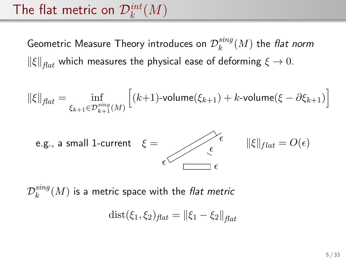# The flat metric on  $\mathcal{D}_{k}^{int}(M)$

Geometric Measure Theory introduces on  $\mathcal{D}_k^{sing}$  $k^{sing}(M)$  the flat norm  $\|\xi\|_{\text{flat}}$  which measures the physical ease of deforming  $\xi \to 0$ .

$$
\|\xi\|_{\text{flat}} = \inf_{\xi_{k+1} \in \mathcal{D}_{k+1}^{\text{sing}}(M)} \left[ (k+1) \text{-volume}(\xi_{k+1}) + k \text{-volume}(\xi - \partial \xi_{k+1}) \right]
$$



 $\mathcal{D}_k^{sing}$  $\mathcal{E}_k^{sing}(M)$  is a metric space with the *flat metric* 

$$
dist(\xi_1, \xi_2)_{flat} = ||\xi_1 - \xi_2||_{flat}
$$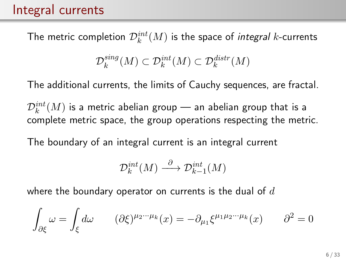#### Integral currents

The metric completion  $\mathcal{D}_{k}^{int}(M)$  is the space of *integral k-*currents

$$
\mathcal{D}_k^{sing}(M) \subset \mathcal{D}_k^{int}(M) \subset \mathcal{D}_k^{distr}(M)
$$

The additional currents, the limits of Cauchy sequences, are fractal.

 $\mathcal{D}_k^{int}(M)$  is a metric abelian group — an abelian group that is a complete metric space, the group operations respecting the metric.

The boundary of an integral current is an integral current

$$
\mathcal{D}_k^{int}(M) \xrightarrow{\partial} \mathcal{D}_{k-1}^{int}(M)
$$

where the boundary operator on currents is the dual of  $d$ 

$$
\int_{\partial \xi} \omega = \int_{\xi} d\omega \qquad (\partial \xi)^{\mu_2 \cdots \mu_k}(x) = -\partial_{\mu_1} \xi^{\mu_1 \mu_2 \cdots \mu_k}(x) \qquad \partial^2 = 0
$$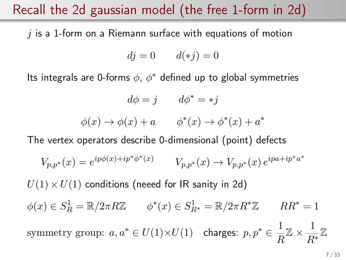#### Recall the 2d gaussian model (the free 1-form in 2d)

 $i$  is a 1-form on a Riemann surface with equations of motion

$$
dj = 0 \qquad d(*j) = 0
$$

Its integrals are 0-forms  $\phi$ ,  $\phi^*$  defined up to global symmetries

$$
d\phi = j \qquad d\phi^* = *j
$$

$$
\phi(x) \to \phi(x) + a \qquad \phi^*(x) \to \phi^*(x) + a^*
$$

The vertex operators describe 0-dimensional (point) defects

$$
V_{p,p^*}(x) = e^{ip\phi(x) + ip^*\phi^*(x)} \t V_{p,p^*}(x) \to V_{p,p^*}(x) e^{ipa + ip^*a^*}
$$

 $U(1) \times U(1)$  conditions (neeed for IR sanity in 2d)  $\phi(x) \in S_R^1 = \mathbb{R}/2\pi R \mathbb{Z}$   $\phi^*(x) \in S_{R^*}^1 = \mathbb{R}/2\pi R^* \mathbb{Z}$   $RR^* = 1$ symmetry group:  $a, a^* \in U(1) \times U(1)$  charges:  $p, p^* \in \frac{1}{\sqrt{p}}$  $\frac{1}{R}\mathbb{Z} \times \frac{1}{R}$ R<sup>∗</sup> Z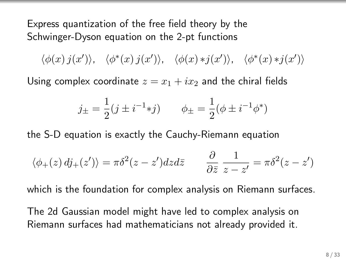Express quantization of the free field theory by the Schwinger-Dyson equation on the 2-pt functions

 $\langle \phi(x) j(x') \rangle$ ,  $\langle \phi^*(x) j(x') \rangle$ ,  $\langle \phi(x) * j(x') \rangle$ ,  $\langle \phi^*(x) * j(x') \rangle$ 

Using complex coordinate  $z = x_1 + ix_2$  and the chiral fields

$$
j_{\pm} = \frac{1}{2}(j \pm i^{-1} * j)
$$
  $\phi_{\pm} = \frac{1}{2}(\phi \pm i^{-1} \phi^*)$ 

the S-D equation is exactly the Cauchy-Riemann equation

$$
\langle \phi_+(z) \, dj_+(z') \rangle = \pi \delta^2 (z - z') dz d\bar{z} \qquad \frac{\partial}{\partial \bar{z}} \, \frac{1}{z - z'} = \pi \delta^2 (z - z')
$$

which is the foundation for complex analysis on Riemann surfaces.

The 2d Gaussian model might have led to complex analysis on Riemann surfaces had mathematicians not already provided it.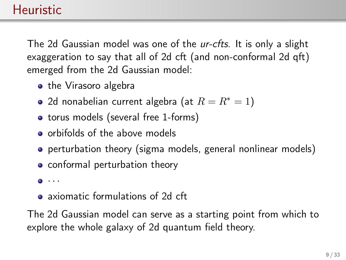The 2d Gaussian model was one of the ur-cfts. It is only a slight exaggeration to say that all of 2d cft (and non-conformal 2d qft) emerged from the 2d Gaussian model:

- the Virasoro algebra
- 2d nonabelian current algebra (at  $R = R^* = 1$ )
- torus models (several free 1-forms)
- **o** orbifolds of the above models
- **•** perturbation theory (sigma models, general nonlinear models)
- conformal perturbation theory
- $\bullet$   $\cdot$   $\cdot$
- axiomatic formulations of 2d cft

The 2d Gaussian model can serve as a starting point from which to explore the whole galaxy of 2d quantum field theory.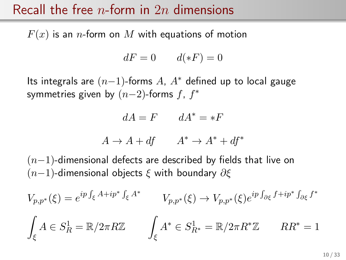#### Recall the free *n*-form in 2*n* dimensions

 $F(x)$  is an *n*-form on M with equations of motion

$$
dF = 0 \qquad d(\ast F) = 0
$$

Its integrals are  $(n-1)$ -forms A,  $A^*$  defined up to local gauge symmetries given by  $(n-2)$ -forms  $f, f^*$ 

$$
dA = F \qquad dA^* = *F
$$

$$
A \to A + df \qquad A^* \to A^* + df^*
$$

 $(n-1)$ -dimensional defects are described by fields that live on  $(n-1)$ -dimensional objects  $\xi$  with boundary  $\partial \xi$ 

$$
V_{p,p^*}(\xi) = e^{ip \int_{\xi} A + ip^* \int_{\xi} A^*} \qquad V_{p,p^*}(\xi) \to V_{p,p^*}(\xi) e^{ip \int_{\partial \xi} f + ip^* \int_{\partial \xi} f^*}
$$

$$
\int_{\xi} A \in S_R^1 = \mathbb{R}/2\pi R \mathbb{Z} \qquad \int_{\xi} A^* \in S_{R^*}^1 = \mathbb{R}/2\pi R^* \mathbb{Z} \qquad RR^* = 1
$$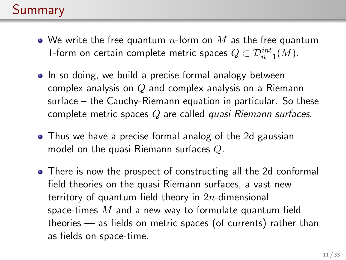### Summary

- We write the free quantum  $n$ -form on  $M$  as the free quantum 1-form on certain complete metric spaces  $Q \subset \mathcal{D}^{int}_{n-1}(M)$ .
- In so doing, we build a precise formal analogy between complex analysis on  $Q$  and complex analysis on a Riemann surface – the Cauchy-Riemann equation in particular. So these complete metric spaces Q are called quasi Riemann surfaces.
- Thus we have a precise formal analog of the 2d gaussian model on the quasi Riemann surfaces Q.
- There is now the prospect of constructing all the 2d conformal field theories on the quasi Riemann surfaces, a vast new territory of quantum field theory in  $2n$ -dimensional space-times  $M$  and a new way to formulate quantum field theories — as fields on metric spaces (of currents) rather than as fields on space-time.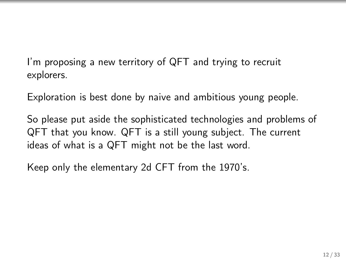I'm proposing a new territory of QFT and trying to recruit explorers.

Exploration is best done by naive and ambitious young people.

So please put aside the sophisticated technologies and problems of QFT that you know. QFT is a still young subject. The current ideas of what is a QFT might not be the last word.

Keep only the elementary 2d CFT from the 1970's.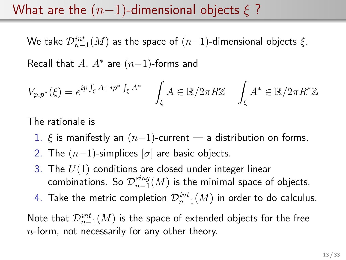#### What are the  $(n-1)$ -dimensional objects  $\xi$  ?

We take  $\mathcal{D}^{int}_{n-1}(M)$  as the space of  $(n{-}1)$ -dimensional objects  $\xi.$ 

Recall that  $A$ ,  $A^*$  are  $(n-1)$ -forms and

$$
V_{p,p^*}(\xi) = e^{ip \int_{\xi} A + ip^* \int_{\xi} A^*} \int_{\xi} A \in \mathbb{R}/2\pi R \mathbb{Z} \int_{\xi} A^* \in \mathbb{R}/2\pi R^* \mathbb{Z}
$$

The rationale is

- 1.  $\xi$  is manifestly an  $(n-1)$ -current a distribution on forms.
- 2. The  $(n-1)$ -simplices  $[\sigma]$  are basic objects.
- 3. The  $U(1)$  conditions are closed under integer linear combinations. So  $\mathcal{D}_{n-1}^{sing}$  $\frac{sing}{n-1}(M)$  is the minimal space of objects.
- 4. Take the metric completion  $\mathcal{D}^{int}_{n-1}(M)$  in order to do calculus.

Note that  $\mathcal{D}_{n-1}^{int}(M)$  is the space of extended objects for the free  $n$ -form, not necessarily for any other theory.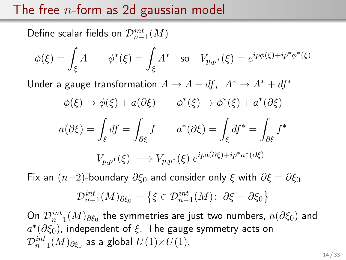#### The free  $n$ -form as 2d gaussian model

Define scalar fields on  $\mathcal{D}_{n-1}^{int}(M)$ 

$$
\phi(\xi) = \int_{\xi} A \qquad \phi^*(\xi) = \int_{\xi} A^* \quad \text{so} \quad V_{p,p^*}(\xi) = e^{ip\phi(\xi) + ip^*\phi^*(\xi)}
$$

Under a gauge transformation  $A \rightarrow A + df$ ,  $A^* \rightarrow A^* + df^*$ 

$$
\phi(\xi) \to \phi(\xi) + a(\partial \xi) \qquad \phi^*(\xi) \to \phi^*(\xi) + a^*(\partial \xi)
$$

$$
a(\partial \xi) = \int_{\xi} df = \int_{\partial \xi} f \qquad a^*(\partial \xi) = \int_{\xi} df^* = \int_{\partial \xi} f^*
$$

$$
V_{p, p^*}(\xi) \longrightarrow V_{p, p^*}(\xi) e^{ipa(\partial \xi) + ip^*a^*(\partial \xi)}
$$

Fix an  $(n-2)$ -boundary  $\partial \xi_0$  and consider only  $\xi$  with  $\partial \xi = \partial \xi_0$ 

$$
\mathcal{D}_{n-1}^{int}(M)_{\partial \xi_0} = \{ \xi \in \mathcal{D}_{n-1}^{int}(M) : \ \partial \xi = \partial \xi_0 \}
$$

On  $\mathcal{D}_{n-1}^{int}(M)_{\partial \xi_0}$  the symmetries are just two numbers,  $a(\partial \xi_0)$  and  $a^*(\partial \xi_0)$ , independent of  $\xi$ . The gauge symmetry acts on  $\mathcal{D}^{int}_{n-1}(M)_{\partial \xi_0}$  as a global  $U(1){\times}U(1).$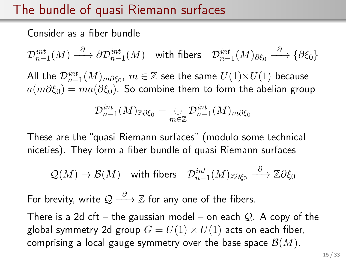### The bundle of quasi Riemann surfaces

Consider as a fiber bundle

 $\mathcal{D}^{int}_{n-1}(M) \stackrel{\partial}{\longrightarrow} \partial \mathcal{D}^{int}_{n-1}(M) \quad \text{with fibers} \quad \mathcal{D}^{int}_{n-1}(M)_{\partial \xi_0} \stackrel{\partial}{\longrightarrow} \{\partial \xi_0\}$ 

All the  $\mathcal{D}_{n-1}^{int}(M)_{m\partial \xi_0},\, m\in \mathbb{Z}$  see the same  $U(1){\times}U(1)$  because  $a(m\partial \xi_0) = ma(\partial \xi_0)$ . So combine them to form the abelian group

$$
\mathcal{D}_{n-1}^{int}(M)_{\mathbb{Z}\partial\xi_0}=\mathop{\oplus}_{m\in\mathbb{Z}} \mathcal{D}_{n-1}^{int}(M)_{m\partial\xi_0}
$$

These are the "quasi Riemann surfaces" (modulo some technical niceties). They form a fiber bundle of quasi Riemann surfaces

$$
\mathcal{Q}(M) \to \mathcal{B}(M) \quad \text{with fibers} \quad \mathcal{D}^{int}_{n-1}(M)_{\mathbb{Z}\partial \xi_0} \stackrel{\partial}{\longrightarrow} \mathbb{Z}\partial \xi_0
$$

For brevity, write  $\mathcal{Q} \stackrel{\partial}{\longrightarrow} \mathbb{Z}$  for any one of the fibers.

There is a 2d cft – the gaussian model – on each  $Q$ . A copy of the global symmetry 2d group  $G = U(1) \times U(1)$  acts on each fiber, comprising a local gauge symmetry over the base space  $\mathcal{B}(M)$ .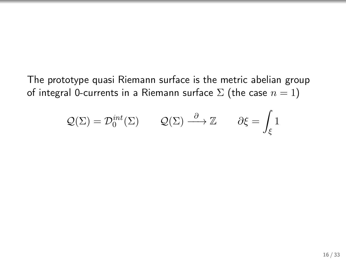The prototype quasi Riemann surface is the metric abelian group of integral 0-currents in a Riemann surface  $\Sigma$  (the case  $n = 1$ )

$$
Q(\Sigma) = \mathcal{D}_0^{int}(\Sigma)
$$
  $Q(\Sigma) \stackrel{\partial}{\longrightarrow} \mathbb{Z}$   $\partial \xi = \int_{\xi} 1$ 

 $\overline{\phantom{a}}$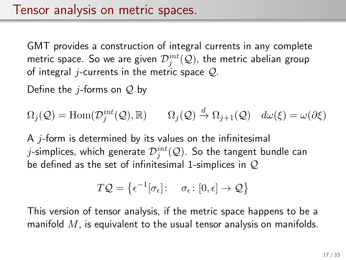GMT provides a construction of integral currents in any complete metric space. So we are given  $\mathcal{D}^{int}_j(\mathcal{Q})$ , the metric abelian group of integral *j*-currents in the metric space  $Q$ .

Define the *j*-forms on  $Q$  by

$$
\Omega_j(\mathcal{Q}) = \text{Hom}(\mathcal{D}_j^{int}(\mathcal{Q}), \mathbb{R}) \qquad \Omega_j(\mathcal{Q}) \stackrel{d}{\to} \Omega_{j+1}(\mathcal{Q}) \quad d\omega(\xi) = \omega(\partial \xi)
$$

A  $i$ -form is determined by its values on the infinitesimal  $j$ -simplices, which generate  $\mathcal{D}^{int}_j(\mathcal{Q}).$  So the tangent bundle can be defined as the set of infinitesimal 1-simplices in  $Q$ 

$$
T\mathcal{Q} = \left\{ \epsilon^{-1}[\sigma_{\epsilon}] : \sigma_{\epsilon} : [0, \epsilon] \to \mathcal{Q} \right\}
$$

This version of tensor analysis, if the metric space happens to be a manifold  $M$ , is equivalent to the usual tensor analysis on manifolds.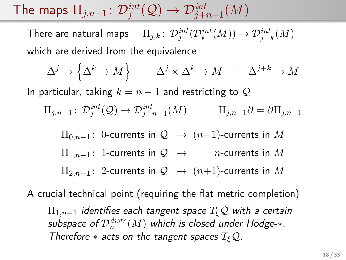The maps  $\Pi_{j,n-1}\colon \mathcal{D}^{int}_j(\mathcal{Q})\rightarrow \mathcal{D}^{int}_{j+n-1}(M)$ 

There are natural maps  $\quad \Pi_{j,k} \colon \mathcal{D}^{int}_j(\mathcal{D}^{int}_k(M)) \to \mathcal{D}^{int}_{j+k}(M)$ which are derived from the equivalence

$$
\Delta^j \to \Big\{ \Delta^k \to M \Big\} \;\; = \;\; \Delta^j \times \Delta^k \to M \;\; = \;\; \Delta^{j+k} \to M
$$

In particular, taking  $k = n - 1$  and restricting to Q

$$
\Pi_{j,n-1} \colon \mathcal{D}^{int}_{j}(\mathcal{Q}) \to \mathcal{D}^{int}_{j+n-1}(M) \qquad \Pi_{j,n-1}\partial = \partial \Pi_{j,n-1}
$$

 $\Pi_{0,n-1}$ : 0-currents in  $\mathcal{Q} \rightarrow (n-1)$ -currents in M  $\Pi_{1,n-1}$ : 1-currents in  $\mathcal{Q} \rightarrow$  n-currents in M  $\Pi_{2,n-1}$ : 2-currents in  $\mathcal{Q} \rightarrow (n+1)$ -currents in M

A crucial technical point (requiring the flat metric completion)  $\Pi_{1,n-1}$  identifies each tangent space  $T_{\xi}Q$  with a certain subspace of  $\mathcal{D}_n^{distr}(M)$  which is closed under Hodge- $\ast.$ Therefore  $*$  acts on the tangent spaces  $T_{\xi}Q$ .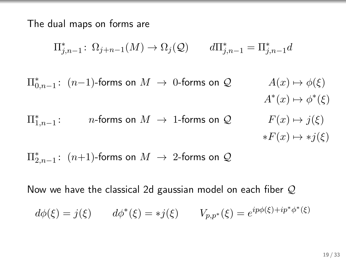The dual maps on forms are

$$
\Pi_{j,n-1}^* \colon \Omega_{j+n-1}(M) \to \Omega_j(\mathcal{Q}) \qquad d\Pi_{j,n-1}^* = \Pi_{j,n-1}^* d
$$

 $\Pi_{0,n-1}^*$ :  $(n-1)$ -forms on  $M → 0$ -forms on  $\mathcal{Q}$   $A(x) → φ(\xi)$  $A^*(x) \mapsto \phi^*(\xi)$  $\Pi_{1,n-1}^*$ *n*-forms on  $M \to 1$ -forms on  $\mathcal{Q}$   $F(x) \mapsto j(\xi)$  $*F(x) \mapsto *i(\xi)$ 

 $\Pi_{2,n-1}^*$ :  $(n+1)$ -forms on  $M$   $\;\rightarrow$  2-forms on  $\mathcal Q$ 

Now we have the classical 2d gaussian model on each fiber Q

$$
d\phi(\xi) = j(\xi)
$$
  $d\phi^*(\xi) = *j(\xi)$   $V_{p,p^*}(\xi) = e^{ip\phi(\xi) + ip^*\phi^*(\xi)}$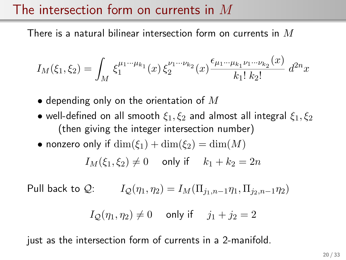#### The intersection form on currents in M

There is a natural bilinear intersection form on currents in  $M$ 

$$
I_M(\xi_1, \xi_2) = \int_M \xi_1^{\mu_1 \cdots \mu_{k_1}}(x) \, \xi_2^{\nu_1 \cdots \nu_{k_2}}(x) \frac{\epsilon_{\mu_1 \cdots \mu_{k_1} \nu_1 \cdots \nu_{k_2}}(x)}{k_1! \, k_2!} \, d^{2n}x
$$

- depending only on the orientation of  $M$
- well-defined on all smooth  $\xi_1, \xi_2$  and almost all integral  $\xi_1, \xi_2$ (then giving the integer intersection number)
- nonzero only if  $\dim(\xi_1) + \dim(\xi_2) = \dim(M)$

$$
I_M(\xi_1, \xi_2) \neq 0 \quad \text{ only if } \quad k_1 + k_2 = 2n
$$

Pull back to Q:  $I_{\mathcal{O}}(\eta_1, \eta_2) = I_M(\Pi_{i_1, n-1} \eta_1, \Pi_{i_2, n-1} \eta_2)$ 

$$
I_{\mathcal{Q}}(\eta_1, \eta_2) \neq 0 \quad \text{ only if } \quad j_1 + j_2 = 2
$$

just as the intersection form of currents in a 2-manifold.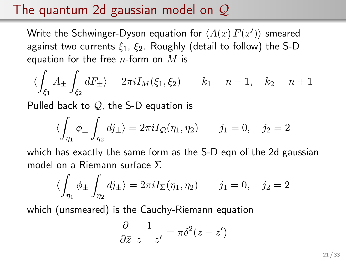### The quantum 2d gaussian model on  $\mathcal{Q}$

Write the Schwinger-Dyson equation for  $\langle A(x)\,F(x')\rangle$  smeared against two currents  $\xi_1$ ,  $\xi_2$ . Roughly (detail to follow) the S-D equation for the free  $n$ -form on  $M$  is

$$
\langle \int_{\xi_1} A_{\pm} \int_{\xi_2} dF_{\pm} \rangle = 2\pi i I_M(\xi_1, \xi_2) \qquad k_1 = n - 1, \quad k_2 = n + 1
$$

Pulled back to  $Q$ , the S-D equation is

$$
\langle \int_{\eta_1} \phi_{\pm} \int_{\eta_2} dj_{\pm} \rangle = 2\pi i I_{\mathcal{Q}}(\eta_1, \eta_2) \qquad j_1 = 0, \quad j_2 = 2
$$

which has exactly the same form as the S-D eqn of the 2d gaussian model on a Riemann surface Σ

$$
\langle \int_{\eta_1} \phi_{\pm} \int_{\eta_2} dj_{\pm} \rangle = 2\pi i I_{\Sigma}(\eta_1, \eta_2) \qquad j_1 = 0, \quad j_2 = 2
$$

which (unsmeared) is the Cauchy-Riemann equation

$$
\frac{\partial}{\partial \bar{z}} \frac{1}{z - z'} = \pi \delta^2 (z - z')
$$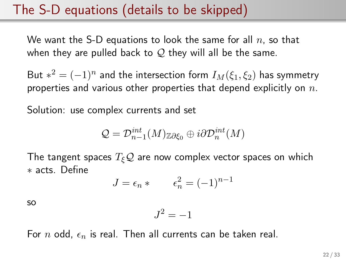#### The S-D equations (details to be skipped)

We want the S-D equations to look the same for all  $n$ , so that when they are pulled back to  $\mathcal{Q}$  they will all be the same.

But  $*^2 = (-1)^n$  and the intersection form  $I_M(\xi_1,\xi_2)$  has symmetry properties and various other properties that depend explicitly on  $n$ .

Solution: use complex currents and set

$$
\mathcal{Q}=\mathcal{D}_{n-1}^{int}(M)_{\mathbb{Z}\partial \xi_0}\oplus i\partial \mathcal{D}_{n}^{int}(M)
$$

The tangent spaces  $T_{\xi}Q$  are now complex vector spaces on which ∗ acts. Define

$$
J = \epsilon_n * \qquad \epsilon_n^2 = (-1)^{n-1}
$$

so

$$
J^2 = -1
$$

For n odd,  $\epsilon_n$  is real. Then all currents can be taken real.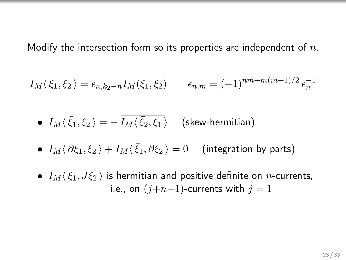Modify the intersection form so its properties are independent of  $n$ .

$$
I_M(\bar{\xi}_1, \xi_2) = \epsilon_{n,k_2-n} I_M(\bar{\xi}_1, \xi_2) \qquad \epsilon_{n,m} = (-1)^{nm+m(m+1)/2} \epsilon_n^{-1}
$$

 $\bullet$   $I_M \langle\,\bar\xi_1,\xi_2\,\rangle=-\,\overline{I_M \langle\,\bar\xi_2,\xi_1\,\rangle} \quad$  (skew-hermitian)

- $\bullet$   $I_M\langle \,\overline{\partial}\overline{\xi}_1,\xi_2\,\rangle+I_M\langle\,\bar{\xi}_1,\partial\xi_2\,\rangle=0$  (integration by parts)
- $\bullet$   $I_M\langle\bar\xi_1,J\xi_2\,\rangle$  is hermitian and positive definite on  $n$ -currents, i.e., on  $(j+n-1)$ -currents with  $j = 1$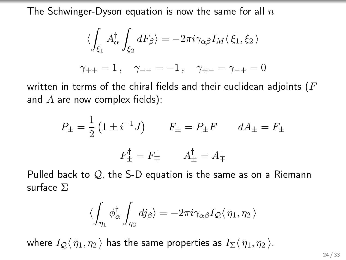The Schwinger-Dyson equation is now the same for all  $n$ 

$$
\langle \int_{\bar{\xi}_1} A^{\dagger}_{\alpha} \int_{\xi_2} dF_{\beta} \rangle = -2\pi i \gamma_{\alpha\beta} I_M \langle \bar{\xi}_1, \xi_2 \rangle
$$
  

$$
\gamma_{++} = 1, \quad \gamma_{--} = -1, \quad \gamma_{+-} = \gamma_{-+} = 0
$$

written in terms of the chiral fields and their euclidean adjoints ( $F$ and  $A$  are now complex fields):

$$
P_{\pm} = \frac{1}{2} \left( 1 \pm i^{-1} J \right) \qquad F_{\pm} = P_{\pm} F \qquad dA_{\pm} = F_{\pm}
$$

$$
F_{\pm}^{\dagger} = \overline{F}_{\mp} \qquad A_{\pm}^{\dagger} = \overline{A}_{\mp}
$$

Pulled back to  $\mathcal{Q}_1$ , the S-D equation is the same as on a Riemann surface Σ

$$
\langle \int_{\bar{\eta}_1} \phi^{\dagger}_{\alpha} \int_{\eta_2} dj_{\beta} \rangle = -2\pi i \gamma_{\alpha\beta} I_{\mathcal{Q}} \langle \bar{\eta}_1, \eta_2 \rangle
$$

where  $I_Q\langle \bar{\eta}_1, \eta_2 \rangle$  has the same properties as  $I_\Sigma\langle \bar{\eta}_1, \eta_2 \rangle$ .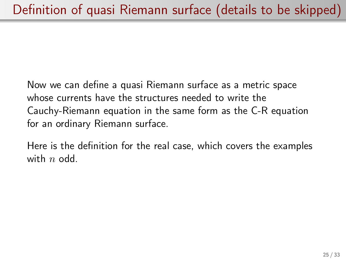Now we can define a quasi Riemann surface as a metric space whose currents have the structures needed to write the Cauchy-Riemann equation in the same form as the C-R equation for an ordinary Riemann surface.

Here is the definition for the real case, which covers the examples with  $n$  odd.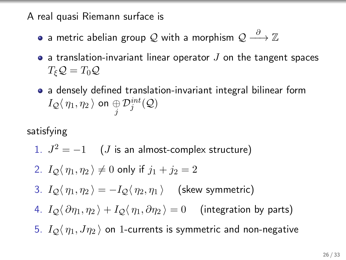A real quasi Riemann surface is

- a metric abelian group  $\mathcal Q$  with a morphism  $\mathcal Q \stackrel{\partial}{\longrightarrow} \mathbb Z$
- a translation-invariant linear operator  $J$  on the tangent spaces  $T_{\xi}Q=T_0Q$
- a densely defined translation-invariant integral bilinear form  $I_{\mathcal{Q}}\langle\,\eta_1,\eta_2\,\rangle$  on  $\underset{j}{\oplus}\mathcal{D}_j^{int}(\mathcal{Q})$

satisfying

1. 
$$
J^2 = -1
$$
 (J is an almost-complex structure)

2. 
$$
I_Q(\eta_1, \eta_2) \neq 0
$$
 only if  $j_1 + j_2 = 2$ 

- 3.  $I_{\mathcal{O}}\langle \eta_1, \eta_2 \rangle = -I_{\mathcal{O}}\langle \eta_2, \eta_1 \rangle$  (skew symmetric)
- 4.  $I_{\mathcal{O}}\langle \partial \eta_1, \eta_2 \rangle + I_{\mathcal{O}}\langle \eta_1, \partial \eta_2 \rangle = 0$  (integration by parts)
- 5.  $I_{\mathcal{Q}}\langle \eta_1, J\eta_2 \rangle$  on 1-currents is symmetric and non-negative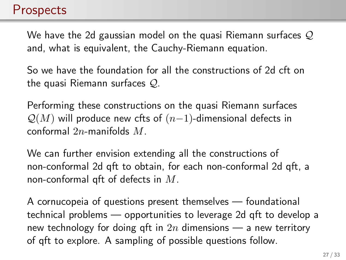#### **Prospects**

We have the 2d gaussian model on the quasi Riemann surfaces  $\mathcal Q$ and, what is equivalent, the Cauchy-Riemann equation.

So we have the foundation for all the constructions of 2d cft on the quasi Riemann surfaces Q.

Performing these constructions on the quasi Riemann surfaces  $\mathcal{Q}(M)$  will produce new cfts of  $(n-1)$ -dimensional defects in conformal 2n-manifolds M.

We can further envision extending all the constructions of non-conformal 2d qft to obtain, for each non-conformal 2d qft, a non-conformal qft of defects in  $M$ .

A cornucopeia of questions present themselves — foundational technical problems — opportunities to leverage 2d qft to develop a new technology for doing qft in  $2n$  dimensions — a new territory of qft to explore. A sampling of possible questions follow.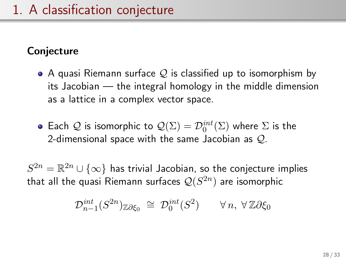#### **Conjecture**

- $\bullet$  A quasi Riemann surface  $\mathcal Q$  is classified up to isomorphism by its Jacobian — the integral homology in the middle dimension as a lattice in a complex vector space.
- Each  $\mathcal Q$  is isomorphic to  $\mathcal Q(\Sigma) = \mathcal D_0^{int}(\Sigma)$  where  $\Sigma$  is the 2-dimensional space with the same Jacobian as  $Q$ .

 $S^{2n} = \mathbb{R}^{2n} \cup \{\infty\}$  has trivial Jacobian, so the conjecture implies that all the quasi Riemann surfaces  $\mathcal{Q}(S^{2n})$  are isomorphic

$$
\mathcal{D}_{n-1}^{int}(S^{2n})_{\mathbb{Z}\partial\xi_0}\;\cong\;\mathcal{D}_0^{int}(S^2)\qquad\forall\,n,\;\forall\,\mathbb{Z}\partial\xi_0
$$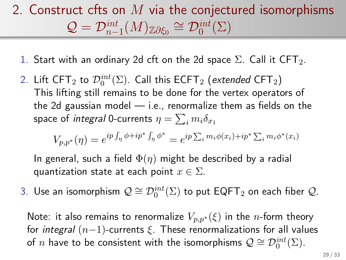## 2. Construct cfts on  $M$  via the conjectured isomorphisms  $\mathcal{Q} = \mathcal{D}_{n-1}^{\text{int}}(M)_{\mathbb{Z}\partial \xi_0} \cong \mathcal{D}_0^{\text{int}}(\Sigma)$

- 1. Start with an ordinary 2d cft on the 2d space  $\Sigma$ . Call it CFT<sub>2</sub>.
- 2. Lift CFT $_2$  to  $\mathcal{D}_0^{int}(\Sigma)$ . Call this ECFT $_2$  (extended CFT $_2)$ This lifting still remains to be done for the vertex operators of the 2d gaussian model  $-$  i.e., renormalize them as fields on the space of *integral* 0-currents  $\eta = \sum_i m_i \delta_{x_1}$

$$
V_{p,p^*}(\eta) = e^{ip \int_{\eta} \phi + ip^* \int_{\eta} \phi^*} = e^{ip \sum_i m_i \phi(x_i) + ip^* \sum_i m_i \phi^*(x_i)}
$$

In general, such a field  $\Phi(\eta)$  might be described by a radial quantization state at each point  $x \in \Sigma$ .

3. Use an isomorphism  $\mathcal{Q} \cong \mathcal{D}_0^{int}(\Sigma)$  to put  $\mathsf{EQFT}_2$  on each fiber  $\mathcal{Q}.$ 

Note: it also remains to renormalize  $V_{p,p^*}(\xi)$  in the *n*-form theory for integral  $(n-1)$ -currents  $\xi$ . These renormalizations for all values of  $n$  have to be consistent with the isomorphisms  $\mathcal{Q} \cong \mathcal{D}^{int}_0(\Sigma)$ .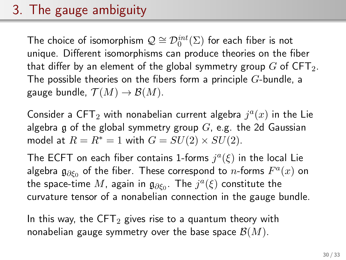## 3. The gauge ambiguity

The choice of isomorphism  $\mathcal{Q} \cong \mathcal{D}^{int}_0(\Sigma)$  for each fiber is not unique. Different isomorphisms can produce theories on the fiber that differ by an element of the global symmetry group  $G$  of CFT<sub>2</sub>. The possible theories on the fibers form a principle  $G$ -bundle, a gauge bundle,  $\mathcal{T}(M) \to \mathcal{B}(M)$ .

Consider a CFT<sub>2</sub> with nonabelian current algebra  $j^a(x)$  in the Lie algebra g of the global symmetry group  $G$ , e.g. the 2d Gaussian model at  $R = R^* = 1$  with  $G = SU(2) \times SU(2)$ .

The ECFT on each fiber contains 1-forms  $j^a(\xi)$  in the local Lie algebra  $\mathfrak{g}_{\partial \xi_0}$  of the fiber. These correspond to  $n$ -forms  $F^a(x)$  on the space-time  $M$ , again in  $\mathfrak{g}_{\partial \xi_0}$ . The  $j^a(\xi)$  constitute the curvature tensor of a nonabelian connection in the gauge bundle.

In this way, the CFT<sub>2</sub> gives rise to a quantum theory with nonabelian gauge symmetry over the base space  $\mathcal{B}(M)$ .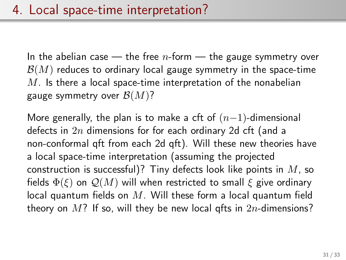In the abelian case  $-$  the free *n*-form  $-$  the gauge symmetry over  $\mathcal{B}(M)$  reduces to ordinary local gauge symmetry in the space-time  $M$ . Is there a local space-time interpretation of the nonabelian gauge symmetry over  $\mathcal{B}(M)$ ?

More generally, the plan is to make a cft of  $(n-1)$ -dimensional defects in  $2n$  dimensions for for each ordinary 2d cft (and a non-conformal qft from each 2d qft). Will these new theories have a local space-time interpretation (assuming the projected construction is successful)? Tiny defects look like points in  $M$ , so fields  $\Phi(\xi)$  on  $\mathcal{Q}(M)$  will when restricted to small  $\xi$  give ordinary local quantum fields on  $M$ . Will these form a local quantum field theory on  $M$ ? If so, will they be new local gfts in  $2n$ -dimensions?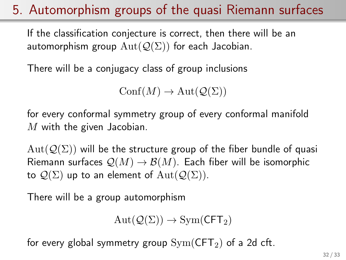### 5. Automorphism groups of the quasi Riemann surfaces

If the classification conjecture is correct, then there will be an automorphism group  $Aut(Q(\Sigma))$  for each Jacobian.

There will be a conjugacy class of group inclusions

 $\text{Conf}(M) \to \text{Aut}(\mathcal{Q}(\Sigma))$ 

for every conformal symmetry group of every conformal manifold  $M$  with the given Jacobian.

 $Aut(Q(\Sigma))$  will be the structure group of the fiber bundle of quasi Riemann surfaces  $\mathcal{Q}(M) \to \mathcal{B}(M)$ . Each fiber will be isomorphic to  $\mathcal{Q}(\Sigma)$  up to an element of  $\text{Aut}(\mathcal{Q}(\Sigma)).$ 

There will be a group automorphism

$$
\mathrm{Aut}(\mathcal{Q}(\Sigma)) \to \mathrm{Sym}(\mathsf{CFT}_2)
$$

for every global symmetry group  $Sym(CFT_2)$  of a 2d cft.